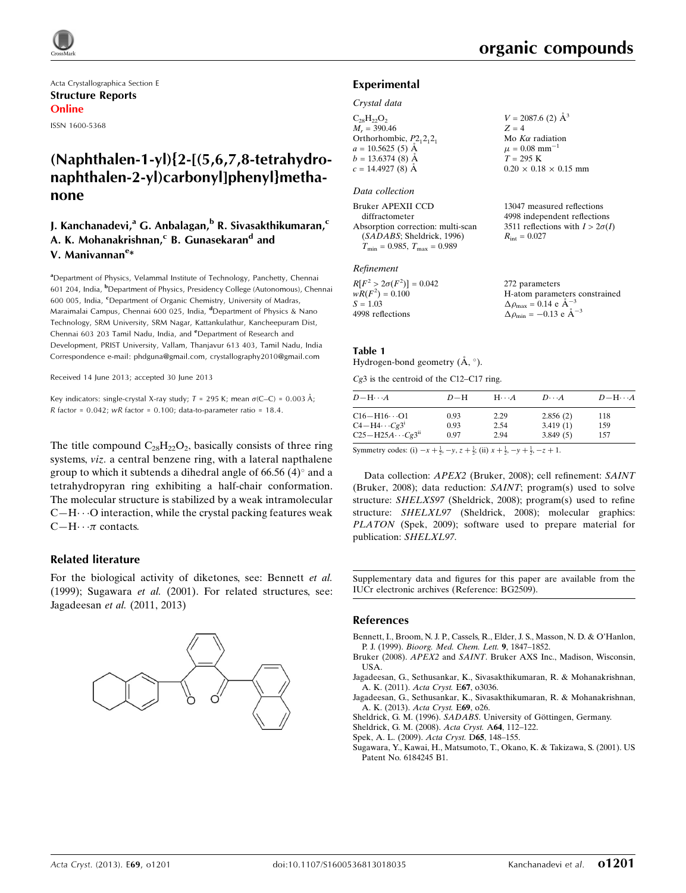Acta Crystallographica Section E Structure Reports Online ISSN 1600-5368

# (Naphthalen-1-yl){2-[(5,6,7,8-tetrahydronaphthalen-2-yl)carbonyl]phenyl}methanone

# **J. Kanchanadevi, <sup>a</sup> G. Anbalagan, <sup>b</sup> R. Sivasakthikumaran, <sup>c</sup>** A. K. Mohanakrishnan,<sup>c</sup> B. Gunasekaran<sup>d</sup> and V. Manivannan<sup>e</sup>\*

<sup>a</sup>Department of Physics, Velammal Institute of Technology, Panchetty, Chennai 601 204, India, <sup>b</sup>Department of Physics, Presidency College (Autonomous), Chennai 600 005, India, <sup>c</sup>Department of Organic Chemistry, University of Madras, Maraimalai Campus, Chennai 600 025, India, <sup>d</sup>Department of Physics & Nano Technology, SRM University, SRM Nagar, Kattankulathur, Kancheepuram Dist, Chennai 603 203 Tamil Nadu, India, and <sup>e</sup>Department of Research and Development, PRIST University, Vallam, Thanjavur 613 403, Tamil Nadu, India Correspondence e-mail: [phdguna@gmail.com, crystallography2010@gmail.com](https://scripts.iucr.org/cgi-bin/cr.cgi?rm=pdfbb&cnor=bg2509&bbid=BB8)

Received 14 June 2013; accepted 30 June 2013

Key indicators: single-crystal X-ray study;  $T = 295$  K; mean  $\sigma$ (C–C) = 0.003 Å; R factor =  $0.042$ ; wR factor =  $0.100$ ; data-to-parameter ratio = 18.4.

The title compound  $C_{28}H_{22}O_2$ , basically consists of three ring systems, viz. a central benzene ring, with a lateral napthalene group to which it subtends a dihedral angle of  $66.56$  (4) $^{\circ}$  and a tetrahydropyran ring exhibiting a half-chair conformation. The molecular structure is stabilized by a weak intramolecular  $C-H\cdots$ O interaction, while the crystal packing features weak  $C-H \cdots \pi$  contacts.

#### Related literature

For the biological activity of diketones, see: Bennett et al. (1999); Sugawara et al. (2001). For related structures, see: Jagadeesan et al. (2011, 2013)



#### Experimental

#### Crystal data

 $C_{28}H_{22}O_2$  $M_r = 390.46$ Orthorhombic,  $P2_12_12_1$  $a = 10.5625(5)$  Å  $b = 13.6374(8)$  Å  $c = 14.4927(8)$  Å  $V = 2087.6$  (2)  $\AA^3$  $Z = 4$ Mo  $K\alpha$  radiation  $\mu = 0.08$  mm<sup>-1</sup>  $T = 295 K$  $0.20 \times 0.18 \times 0.15$  mm

#### Data collection

| Bruker APEXII CCD                    | 13047 measured reflections             |
|--------------------------------------|----------------------------------------|
| diffractometer                       | 4998 independent reflections           |
| Absorption correction: multi-scan    | 3511 reflections with $I > 2\sigma(I)$ |
| (SADABS; Sheldrick, 1996)            | $R_{\rm int} = 0.027$                  |
| $T_{\min} = 0.985, T_{\max} = 0.989$ |                                        |

#### Refinement

| $R[F^2 > 2\sigma(F^2)] = 0.042$ | 272 parameters                                     |
|---------------------------------|----------------------------------------------------|
| $wR(F^2) = 0.100$               | H-atom parameters constrained                      |
| $S = 1.03$                      | $\Delta \rho_{\text{max}} = 0.14 \text{ e A}^{-3}$ |
| 4998 reflections                | $\Delta \rho_{\text{min}} = -0.13$ e $\AA^{-3}$    |

#### Table 1

Hydrogen-bond geometry  $(\AA, \degree)$ .

Cg3 is the centroid of the C12–C17 ring.

| $D - H \cdots A$                                  | $D-H$        | $H\cdots A$  | $D\cdots A$          | $D - H \cdots A$ |
|---------------------------------------------------|--------------|--------------|----------------------|------------------|
| $C16 - H16 \cdots O1$                             | 0.93         | 2.29         | 2.856(2)             | 118              |
| $C4 - H4 \cdots Cg3$<br>$C25 - H25A \cdots Cg3ii$ | 0.93<br>0.97 | 2.54<br>2.94 | 3.419(1)<br>3.849(5) | 159<br>157       |

Symmetry codes: (i)  $-x + \frac{1}{2}$ ,  $-y$ ,  $z + \frac{1}{2}$ ; (ii)  $x + \frac{1}{2}$ ,  $-y + \frac{1}{2}$ ,  $-z + 1$ .

Data collection: APEX2 (Bruker, 2008); cell refinement: SAINT (Bruker, 2008); data reduction: SAINT; program(s) used to solve structure: SHELXS97 (Sheldrick, 2008); program(s) used to refine structure: SHELXL97 (Sheldrick, 2008); molecular graphics: PLATON (Spek, 2009); software used to prepare material for publication: SHELXL97.

Supplementary data and figures for this paper are available from the IUCr electronic archives (Reference: BG2509).

#### References

[Bennett, I., Broom, N. J. P., Cassels, R., Elder, J. S., Masson, N. D. & O'Hanlon,](https://scripts.iucr.org/cgi-bin/cr.cgi?rm=pdfbb&cnor=bg2509&bbid=BB1) P. J. (1999). [Bioorg. Med. Chem. Lett.](https://scripts.iucr.org/cgi-bin/cr.cgi?rm=pdfbb&cnor=bg2509&bbid=BB1) 9, 1847–1852.

Bruker (2008). APEX2 and SAINT[. Bruker AXS Inc., Madison, Wisconsin,](https://scripts.iucr.org/cgi-bin/cr.cgi?rm=pdfbb&cnor=bg2509&bbid=BB2) [USA.](https://scripts.iucr.org/cgi-bin/cr.cgi?rm=pdfbb&cnor=bg2509&bbid=BB2)

[Jagadeesan, G., Sethusankar, K., Sivasakthikumaran, R. & Mohanakrishnan,](https://scripts.iucr.org/cgi-bin/cr.cgi?rm=pdfbb&cnor=bg2509&bbid=BB3) [A. K. \(2011\).](https://scripts.iucr.org/cgi-bin/cr.cgi?rm=pdfbb&cnor=bg2509&bbid=BB3) Acta Cryst. E67, o3036.

[Jagadeesan, G., Sethusankar, K., Sivasakthikumaran, R. & Mohanakrishnan,](https://scripts.iucr.org/cgi-bin/cr.cgi?rm=pdfbb&cnor=bg2509&bbid=BB4) [A. K. \(2013\).](https://scripts.iucr.org/cgi-bin/cr.cgi?rm=pdfbb&cnor=bg2509&bbid=BB4) Acta Cryst. E69, o26.

Sheldrick, G. M. (1996). SADABS. University of Göttingen, Germany.

[Sheldrick, G. M. \(2008\).](https://scripts.iucr.org/cgi-bin/cr.cgi?rm=pdfbb&cnor=bg2509&bbid=BB6) Acta Cryst. A64, 112–122.

[Spek, A. L. \(2009\).](https://scripts.iucr.org/cgi-bin/cr.cgi?rm=pdfbb&cnor=bg2509&bbid=BB7) Acta Cryst. D65, 148–155.

[Sugawara, Y., Kawai, H., Matsumoto, T., Okano, K. & Takizawa, S. \(2001\). US](https://scripts.iucr.org/cgi-bin/cr.cgi?rm=pdfbb&cnor=bg2509&bbid=BB8) [Patent No. 6184245 B1.](https://scripts.iucr.org/cgi-bin/cr.cgi?rm=pdfbb&cnor=bg2509&bbid=BB8)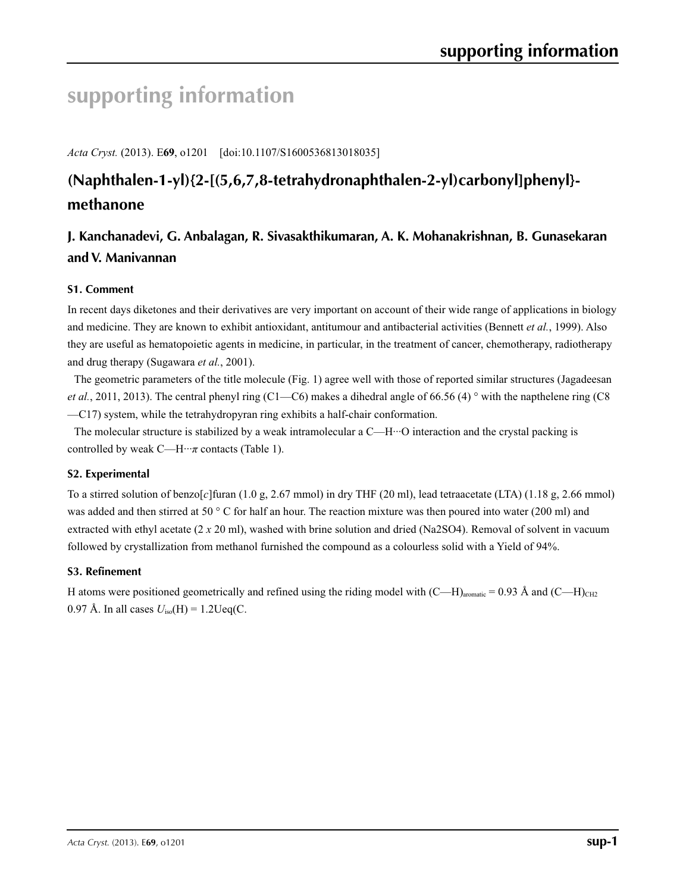# **supporting information**

*Acta Cryst.* (2013). E**69**, o1201 [doi:10.1107/S1600536813018035]

# **(Naphthalen-1-yl){2-[(5,6,7,8-tetrahydronaphthalen-2-yl)carbonyl]phenyl} methanone**

# **J. Kanchanadevi, G. Anbalagan, R. Sivasakthikumaran, A. K. Mohanakrishnan, B. Gunasekaran and V. Manivannan**

## **S1. Comment**

In recent days diketones and their derivatives are very important on account of their wide range of applications in biology and medicine. They are known to exhibit antioxidant, antitumour and antibacterial activities (Bennett *et al.*, 1999). Also they are useful as hematopoietic agents in medicine, in particular, in the treatment of cancer, chemotherapy, radiotherapy and drug therapy (Sugawara *et al.*, 2001).

The geometric parameters of the title molecule (Fig. 1) agree well with those of reported similar structures (Jagadeesan *et al.*, 2011, 2013). The central phenyl ring (C1—C6) makes a dihedral angle of 66.56 (4) ° with the napthelene ring (C8 —C17) system, while the tetrahydropyran ring exhibits a half-chair conformation.

The molecular structure is stabilized by a weak intramolecular a  $C$ —H $\cdot\cdot\cdot$ O interaction and the crystal packing is controlled by weak  $C$ —H $\cdots$ *π* contacts (Table 1).

## **S2. Experimental**

To a stirred solution of benzo[*c*]furan (1.0 g, 2.67 mmol) in dry THF (20 ml), lead tetraacetate (LTA) (1.18 g, 2.66 mmol) was added and then stirred at 50 ° C for half an hour. The reaction mixture was then poured into water (200 ml) and extracted with ethyl acetate (2 *x* 20 ml), washed with brine solution and dried (Na2SO4). Removal of solvent in vacuum followed by crystallization from methanol furnished the compound as a colourless solid with a Yield of 94%.

## **S3. Refinement**

H atoms were positioned geometrically and refined using the riding model with  $(C-H)_{\text{aronatic}} = 0.93 \text{ Å}$  and  $(C-H)_{\text{CH2}}$ 0.97 Å. In all cases  $U_{\text{iso}}(H) = 1.2 \text{Ueq}(C)$ .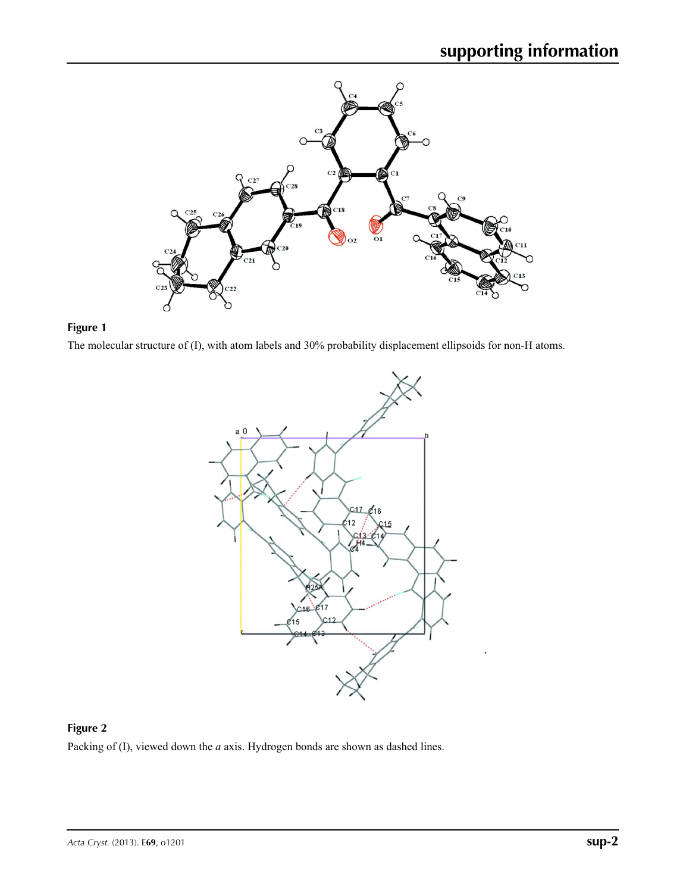



The molecular structure of (I), with atom labels and 30% probability displacement ellipsoids for non-H atoms.



### **Figure 2**

Packing of (I), viewed down the *a* axis. Hydrogen bonds are shown as dashed lines.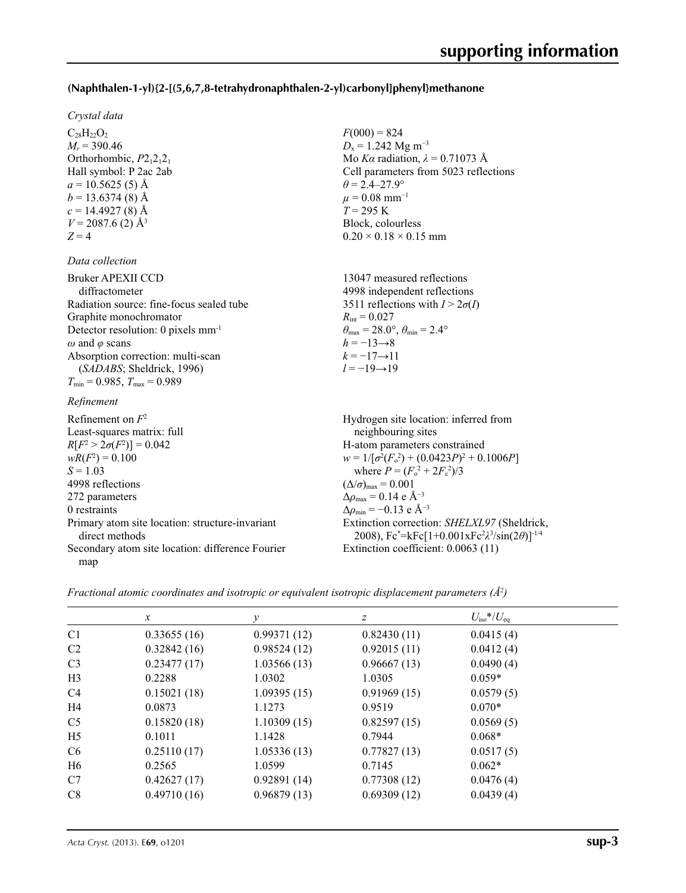### **(Naphthalen-1-yl){2-[(5,6,7,8-tetrahydronaphthalen-2-yl)carbonyl]phenyl}methanone**

 $F(000) = 824$  $D_x = 1.242$  Mg m<sup>-3</sup>

 $\theta = 2.4 - 27.9^{\circ}$  $\mu = 0.08$  mm<sup>-1</sup>  $T = 295 \text{ K}$ Block, colourless  $0.20 \times 0.18 \times 0.15$  mm

Mo *Kα* radiation,  $\lambda = 0.71073$  Å Cell parameters from 5023 reflections

#### *Crystal data*

 $C_{28}H_{22}O_2$  $M_r$  = 390.46 Orthorhombic,  $P2_12_12_1$ Hall symbol: P 2ac 2ab  $a = 10.5625(5)$  Å  $b = 13.6374(8)$  Å  $c = 14.4927(8)$  Å  $V = 2087.6$  (2) Å<sup>3</sup>  $Z = 4$ 

### *Data collection*

| Bruker APEXII CCD<br>diffractometer            | 13047 measured reflections<br>4998 independent reflections              |
|------------------------------------------------|-------------------------------------------------------------------------|
| Radiation source: fine-focus sealed tube       | 3511 reflections with $I > 2\sigma(I)$                                  |
| Graphite monochromator                         | $R_{\text{int}} = 0.027$                                                |
| Detector resolution: 0 pixels mm <sup>-1</sup> | $\theta_{\text{max}} = 28.0^{\circ}, \theta_{\text{min}} = 2.4^{\circ}$ |
| $\omega$ and $\varphi$ scans                   | $h = -13 \rightarrow 8$                                                 |
| Absorption correction: multi-scan              | $k = -17 \rightarrow 11$                                                |
| (SADABS; Sheldrick, 1996)                      | $l = -19 \rightarrow 19$                                                |
| $T_{\min}$ = 0.985, $T_{\max}$ = 0.989         |                                                                         |

#### *Refinement*

Refinement on *F*<sup>2</sup> Least-squares matrix: full *R*[ $F^2 > 2\sigma(F^2)$ ] = 0.042  $wR(F^2) = 0.100$  $S = 1.03$ 4998 reflections 272 parameters 0 restraints Primary atom site location: structure-invariant direct methods Secondary atom site location: difference Fourier map Hydrogen site location: inferred from neighbouring sites H-atom parameters constrained  $w = 1/[\sigma^2 (F_o^2) + (0.0423P)^2 + 0.1006P]$ where  $P = (F_o^2 + 2F_c^2)/3$  $(\Delta/\sigma)_{\text{max}} = 0.001$  $\Delta\rho_{\text{max}} = 0.14 \text{ e A}^{-3}$  $\Delta \rho_{\text{min}} = -0.13 \text{ e } \text{\AA}^{-3}$ Extinction correction: *SHELXL97* (Sheldrick, 2008), Fc\* =kFc[1+0.001xFc2 *λ*3 /sin(2*θ*)]-1/4 Extinction coefficient: 0.0063 (11)

*Fractional atomic coordinates and isotropic or equivalent isotropic displacement parameters (Å<sup>2</sup>)*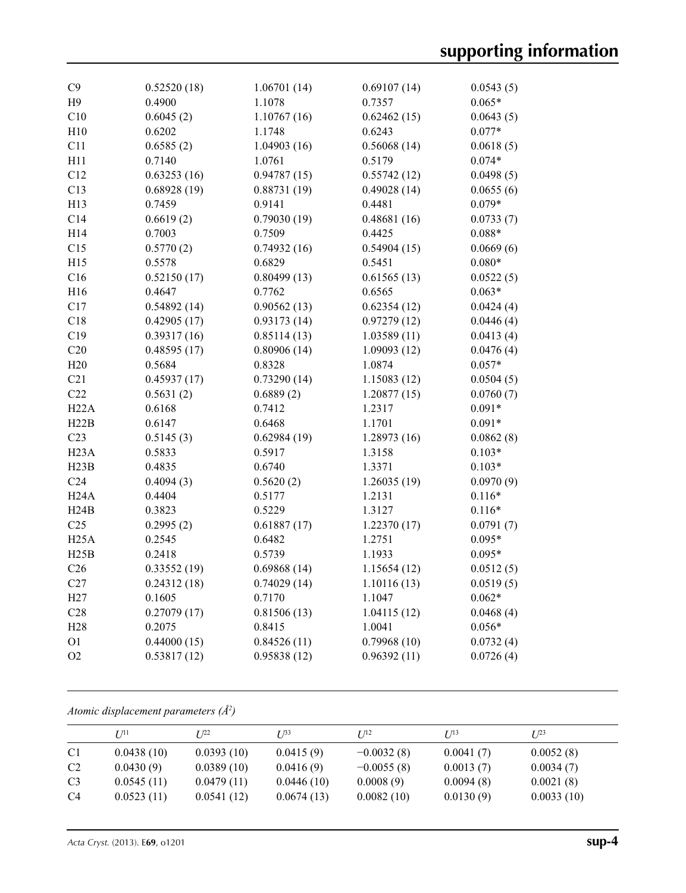| C9                | 0.52520(18) | 1.06701(14) | 0.69107(14) | 0.0543(5) |
|-------------------|-------------|-------------|-------------|-----------|
| H <sub>9</sub>    | 0.4900      | 1.1078      | 0.7357      | $0.065*$  |
| C10               | 0.6045(2)   | 1.10767(16) | 0.62462(15) | 0.0643(5) |
| H10               | 0.6202      | 1.1748      | 0.6243      | $0.077*$  |
| C11               | 0.6585(2)   | 1.04903(16) | 0.56068(14) | 0.0618(5) |
| H11               | 0.7140      | 1.0761      | 0.5179      | $0.074*$  |
| C12               | 0.63253(16) | 0.94787(15) | 0.55742(12) | 0.0498(5) |
| C13               | 0.68928(19) | 0.88731(19) | 0.49028(14) | 0.0655(6) |
| H13               | 0.7459      | 0.9141      | 0.4481      | $0.079*$  |
| C14               | 0.6619(2)   | 0.79030(19) | 0.48681(16) | 0.0733(7) |
| H14               | 0.7003      | 0.7509      | 0.4425      | $0.088*$  |
| C15               | 0.5770(2)   | 0.74932(16) | 0.54904(15) | 0.0669(6) |
| H15               | 0.5578      | 0.6829      | 0.5451      | $0.080*$  |
| C16               | 0.52150(17) | 0.80499(13) | 0.61565(13) | 0.0522(5) |
| H16               | 0.4647      | 0.7762      | 0.6565      | $0.063*$  |
| C17               | 0.54892(14) | 0.90562(13) | 0.62354(12) | 0.0424(4) |
| C18               | 0.42905(17) | 0.93173(14) | 0.97279(12) | 0.0446(4) |
| C19               | 0.39317(16) | 0.85114(13) | 1.03589(11) | 0.0413(4) |
| C20               | 0.48595(17) | 0.80906(14) | 1.09093(12) | 0.0476(4) |
| H20               | 0.5684      | 0.8328      | 1.0874      | $0.057*$  |
| C21               | 0.45937(17) | 0.73290(14) | 1.15083(12) | 0.0504(5) |
| C22               | 0.5631(2)   | 0.6889(2)   | 1.20877(15) | 0.0760(7) |
| H22A              | 0.6168      | 0.7412      | 1.2317      | $0.091*$  |
| H22B              | 0.6147      | 0.6468      | 1.1701      | $0.091*$  |
| C <sub>23</sub>   | 0.5145(3)   | 0.62984(19) | 1.28973(16) | 0.0862(8) |
| H <sub>23</sub> A | 0.5833      | 0.5917      | 1.3158      | $0.103*$  |
| H23B              | 0.4835      | 0.6740      | 1.3371      | $0.103*$  |
| C <sub>24</sub>   | 0.4094(3)   | 0.5620(2)   | 1.26035(19) | 0.0970(9) |
| H <sub>24</sub> A | 0.4404      | 0.5177      | 1.2131      | $0.116*$  |
| H24B              | 0.3823      | 0.5229      | 1.3127      | $0.116*$  |
| C <sub>25</sub>   | 0.2995(2)   | 0.61887(17) | 1.22370(17) | 0.0791(7) |
| H25A              | 0.2545      | 0.6482      | 1.2751      | $0.095*$  |
| H25B              | 0.2418      | 0.5739      | 1.1933      | $0.095*$  |
| C <sub>26</sub>   | 0.33552(19) | 0.69868(14) | 1.15654(12) | 0.0512(5) |
| C27               | 0.24312(18) | 0.74029(14) | 1.10116(13) | 0.0519(5) |
| H27               | 0.1605      | 0.7170      | 1.1047      | $0.062*$  |
| C28               | 0.27079(17) | 0.81506(13) | 1.04115(12) | 0.0468(4) |
| H <sub>28</sub>   | 0.2075      | 0.8415      | 1.0041      | $0.056*$  |
| O <sub>1</sub>    | 0.44000(15) | 0.84526(11) | 0.79968(10) | 0.0732(4) |
| O2                | 0.53817(12) | 0.95838(12) | 0.96392(11) | 0.0726(4) |

*Atomic displacement parameters (Å2 )*

|                | I/I <sup>11</sup> | I 1 <sup>22</sup> | $I^{\beta 3}$ | I/I <sup>2</sup> | I/13      | $I^{23}$   |
|----------------|-------------------|-------------------|---------------|------------------|-----------|------------|
| C <sub>1</sub> | 0.0438(10)        | 0.0393(10)        | 0.0415(9)     | $-0.0032(8)$     | 0.0041(7) | 0.0052(8)  |
| C <sub>2</sub> | 0.0430(9)         | 0.0389(10)        | 0.0416(9)     | $-0.0055(8)$     | 0.0013(7) | 0.0034(7)  |
| C <sub>3</sub> | 0.0545(11)        | 0.0479(11)        | 0.0446(10)    | 0.0008(9)        | 0.0094(8) | 0.0021(8)  |
| C <sub>4</sub> | 0.0523(11)        | 0.0541(12)        | 0.0674(13)    | 0.0082(10)       | 0.0130(9) | 0.0033(10) |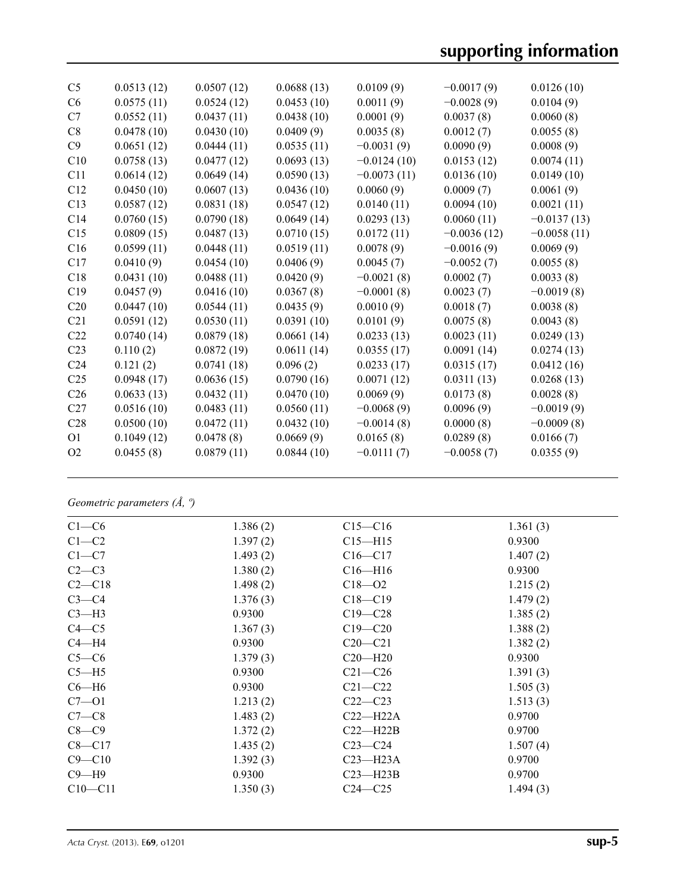# **supporting information**

| C <sub>5</sub>  | 0.0513(12) | 0.0507(12) | 0.0688(13) | 0.0109(9)     | $-0.0017(9)$  | 0.0126(10)    |
|-----------------|------------|------------|------------|---------------|---------------|---------------|
| C6              | 0.0575(11) | 0.0524(12) | 0.0453(10) | 0.0011(9)     | $-0.0028(9)$  | 0.0104(9)     |
| C7              | 0.0552(11) | 0.0437(11) | 0.0438(10) | 0.0001(9)     | 0.0037(8)     | 0.0060(8)     |
| C8              | 0.0478(10) | 0.0430(10) | 0.0409(9)  | 0.0035(8)     | 0.0012(7)     | 0.0055(8)     |
| C9              | 0.0651(12) | 0.0444(11) | 0.0535(11) | $-0.0031(9)$  | 0.0090(9)     | 0.0008(9)     |
| C10             | 0.0758(13) | 0.0477(12) | 0.0693(13) | $-0.0124(10)$ | 0.0153(12)    | 0.0074(11)    |
| C11             | 0.0614(12) | 0.0649(14) | 0.0590(13) | $-0.0073(11)$ | 0.0136(10)    | 0.0149(10)    |
| C12             | 0.0450(10) | 0.0607(13) | 0.0436(10) | 0.0060(9)     | 0.0009(7)     | 0.0061(9)     |
| C13             | 0.0587(12) | 0.0831(18) | 0.0547(12) | 0.0140(11)    | 0.0094(10)    | 0.0021(11)    |
| C14             | 0.0760(15) | 0.0790(18) | 0.0649(14) | 0.0293(13)    | 0.0060(11)    | $-0.0137(13)$ |
| C15             | 0.0809(15) | 0.0487(13) | 0.0710(15) | 0.0172(11)    | $-0.0036(12)$ | $-0.0058(11)$ |
| C16             | 0.0599(11) | 0.0448(11) | 0.0519(11) | 0.0078(9)     | $-0.0016(9)$  | 0.0069(9)     |
| C17             | 0.0410(9)  | 0.0454(10) | 0.0406(9)  | 0.0045(7)     | $-0.0052(7)$  | 0.0055(8)     |
| C18             | 0.0431(10) | 0.0488(11) | 0.0420(9)  | $-0.0021(8)$  | 0.0002(7)     | 0.0033(8)     |
| C19             | 0.0457(9)  | 0.0416(10) | 0.0367(8)  | $-0.0001(8)$  | 0.0023(7)     | $-0.0019(8)$  |
| C20             | 0.0447(10) | 0.0544(11) | 0.0435(9)  | 0.0010(9)     | 0.0018(7)     | 0.0038(8)     |
| C21             | 0.0591(12) | 0.0530(11) | 0.0391(10) | 0.0101(9)     | 0.0075(8)     | 0.0043(8)     |
| C <sub>22</sub> | 0.0740(14) | 0.0879(18) | 0.0661(14) | 0.0233(13)    | 0.0023(11)    | 0.0249(13)    |
| C <sub>23</sub> | 0.110(2)   | 0.0872(19) | 0.0611(14) | 0.0355(17)    | 0.0091(14)    | 0.0274(13)    |
| C <sub>24</sub> | 0.121(2)   | 0.0741(18) | 0.096(2)   | 0.0233(17)    | 0.0315(17)    | 0.0412(16)    |
| C <sub>25</sub> | 0.0948(17) | 0.0636(15) | 0.0790(16) | 0.0071(12)    | 0.0311(13)    | 0.0268(13)    |
| C <sub>26</sub> | 0.0633(13) | 0.0432(11) | 0.0470(10) | 0.0069(9)     | 0.0173(8)     | 0.0028(8)     |
| C27             | 0.0516(10) | 0.0483(11) | 0.0560(11) | $-0.0068(9)$  | 0.0096(9)     | $-0.0019(9)$  |
| C28             | 0.0500(10) | 0.0472(11) | 0.0432(10) | $-0.0014(8)$  | 0.0000(8)     | $-0.0009(8)$  |
| O <sub>1</sub>  | 0.1049(12) | 0.0478(8)  | 0.0669(9)  | 0.0165(8)     | 0.0289(8)     | 0.0166(7)     |
| O <sub>2</sub>  | 0.0455(8)  | 0.0879(11) | 0.0844(10) | $-0.0111(7)$  | $-0.0058(7)$  | 0.0355(9)     |
|                 |            |            |            |               |               |               |

*Geometric parameters (Å, º)*

| $C1-C6$     | 1.386(2) | $C15 - C16$  | 1.361(3) |
|-------------|----------|--------------|----------|
| $C1-C2$     | 1.397(2) | $C15 - H15$  | 0.9300   |
| $C1-C7$     | 1.493(2) | $C16 - C17$  | 1.407(2) |
| $C2-C3$     | 1.380(2) | $C16 - H16$  | 0.9300   |
| $C2-C18$    | 1.498(2) | $C18 - 02$   | 1.215(2) |
| $C3-C4$     | 1.376(3) | $C18 - C19$  | 1.479(2) |
| $C3-H3$     | 0.9300   | $C19 - C28$  | 1.385(2) |
| $C4 - C5$   | 1.367(3) | $C19 - C20$  | 1.388(2) |
| $C4 - H4$   | 0.9300   | $C20 - C21$  | 1.382(2) |
| $C5-C6$     | 1.379(3) | $C20-H20$    | 0.9300   |
| $C5 - H5$   | 0.9300   | $C21 - C26$  | 1.391(3) |
| $C6 - H6$   | 0.9300   | $C21 - C22$  | 1.505(3) |
| $C7 - 01$   | 1.213(2) | $C22-C23$    | 1.513(3) |
| $C7-C8$     | 1.483(2) | $C22-H22A$   | 0.9700   |
| $C8-C9$     | 1.372(2) | $C22-H22B$   | 0.9700   |
| $C8 - C17$  | 1.435(2) | $C23-C24$    | 1.507(4) |
| $C9 - C10$  | 1.392(3) | $C23 - H23A$ | 0.9700   |
| $C9 - H9$   | 0.9300   | $C23 - H23B$ | 0.9700   |
| $C10 - C11$ | 1.350(3) | $C24 - C25$  | 1.494(3) |
|             |          |              |          |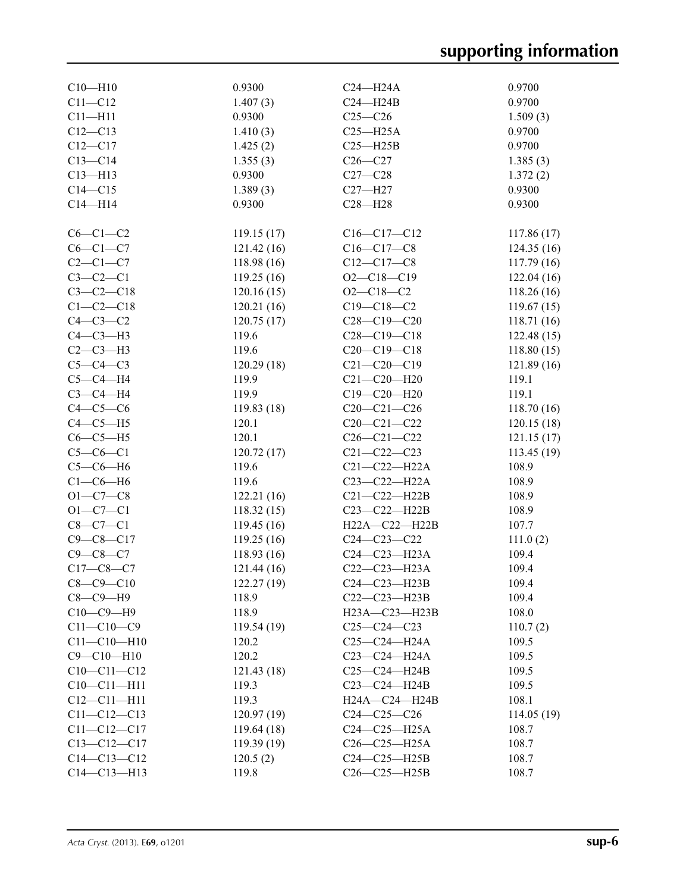| $C10 - H10$       | 0.9300      | $C24 - H24A$        | 0.9700      |
|-------------------|-------------|---------------------|-------------|
| $C11 - C12$       | 1.407(3)    | $C24 - H24B$        | 0.9700      |
| $C11 - H11$       | 0.9300      | $C25-C26$           | 1.509(3)    |
| $C12 - C13$       | 1.410(3)    | $C25 - H25A$        | 0.9700      |
| $C12 - C17$       | 1.425(2)    | $C25 - H25B$        | 0.9700      |
| $C13-C14$         | 1.355(3)    | $C26 - C27$         | 1.385(3)    |
| $C13 - H13$       | 0.9300      | $C27 - C28$         | 1.372(2)    |
| $C14 - C15$       | 1.389(3)    | $C27 - H27$         | 0.9300      |
| $C14 - H14$       | 0.9300      | $C28 - H28$         | 0.9300      |
|                   |             |                     |             |
| $C6-C1-C2$        | 119.15(17)  | $C16-C17-C12$       | 117.86 (17) |
| $C6-C1-C7$        | 121.42(16)  | $C16 - C17 - C8$    | 124.35(16)  |
| $C2-C1-C7$        | 118.98(16)  | $C12 - C17 - C8$    | 117.79(16)  |
| $C3-C2-C1$        | 119.25(16)  | $O2 - C18 - C19$    | 122.04(16)  |
| $C3 - C2 - C18$   | 120.16(15)  | $O2 - C18 - C2$     | 118.26(16)  |
| $C1-C2-C18$       | 120.21(16)  | $C19 - C18 - C2$    | 119.67(15)  |
| $C4-C3-C2$        | 120.75(17)  | $C28 - C19 - C20$   | 118.71 (16) |
| $C4-C3-H3$        | 119.6       | $C28 - C19 - C18$   | 122.48(15)  |
| $C2-C3-H3$        | 119.6       | $C20-C19-C18$       | 118.80(15)  |
| $C5-C4-C3$        | 120.29(18)  | $C21 - C20 - C19$   | 121.89(16)  |
| $C5-C4-H4$        | 119.9       | $C21 - C20 - H20$   | 119.1       |
| $C3-C4-H4$        | 119.9       | $C19 - C20 - H20$   | 119.1       |
| $C4-C5-C6$        | 119.83(18)  | $C20-C21-C26$       | 118.70(16)  |
| $C4-C5-H5$        | 120.1       | $C20 - C21 - C22$   | 120.15(18)  |
| $C6-C5-H5$        | 120.1       | $C26 - C21 - C22$   | 121.15(17)  |
| $C5-C6-C1$        | 120.72(17)  | $C21 - C22 - C23$   | 113.45(19)  |
| $C5-C6-H6$        | 119.6       | $C21 - C22 - H22A$  | 108.9       |
| $C1-C6-H6$        | 119.6       | $C23-C22-H22A$      | 108.9       |
| $O1 - C7 - C8$    | 122.21(16)  | $C21-C22-H22B$      | 108.9       |
| $O1 - C7 - C1$    | 118.32(15)  | C23-C22-H22B        | 108.9       |
| $C8-C7-C1$        | 119.45(16)  | H22A-C22-H22B       | 107.7       |
| $C9 - C8 - C17$   | 119.25(16)  | $C24 - C23 - C22$   | 111.0(2)    |
| $C9 - C8 - C7$    | 118.93(16)  | C24-C23-H23A        | 109.4       |
| $C17-C8-C7$       | 121.44(16)  | C22-C23-H23A        | 109.4       |
| $C8 - C9 - C10$   | 122.27(19)  | C24-C23-H23B        | 109.4       |
| $C8-C9-H9$        | 118.9       | $C22-C23-H23B$      | 109.4       |
| $C10-C9-H9$       | 118.9       | $H23A - C23 - H23B$ | 108.0       |
| $C11 - C10 - C9$  | 119.54(19)  | $C25-C24-C23$       | 110.7(2)    |
| $C11 - C10 - H10$ | 120.2       | $C25 - C24 - H24A$  | 109.5       |
| $C9 - C10 - H10$  | 120.2       | $C23 - C24 - H24A$  | 109.5       |
| $C10-C11-C12$     | 121.43 (18) | $C25-C24-H24B$      | 109.5       |
| $C10 - C11 - H11$ | 119.3       | $C23-C24-H24B$      | 109.5       |
| $C12 - C11 - H11$ | 119.3       | $H24A - C24 - H24B$ | 108.1       |
| $C11 - C12 - C13$ | 120.97(19)  | $C24 - C25 - C26$   | 114.05(19)  |
| $C11 - C12 - C17$ | 119.64(18)  | $C24-C25-H25A$      | 108.7       |
| $C13-C12-C17$     | 119.39(19)  | $C26-C25-H25A$      | 108.7       |
| $C14 - C13 - C12$ | 120.5(2)    | $C24-C25-H25B$      | 108.7       |
| $C14 - C13 - H13$ | 119.8       | $C26-C25-H25B$      | 108.7       |
|                   |             |                     |             |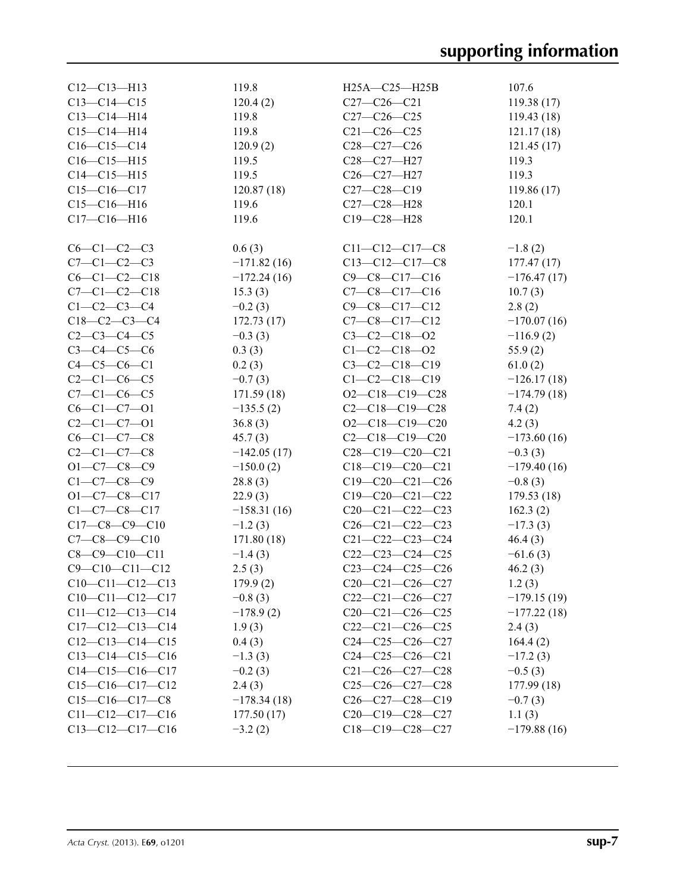| $C12-C13-H13$          | 119.8         | H25A-C25-H25B           | 107.6         |
|------------------------|---------------|-------------------------|---------------|
| $C13-C14-C15$          | 120.4(2)      | $C27-C26-C21$           | 119.38(17)    |
| $C13 - C14 - H14$      | 119.8         | $C27 - C26 - C25$       | 119.43(18)    |
| $C15 - C14 - H14$      | 119.8         | $C21 - C26 - C25$       |               |
| $C16-C15-C14$          |               | $C28 - C27 - C26$       | 121.17(18)    |
|                        | 120.9(2)      |                         | 121.45(17)    |
| $C16-C15-H15$          | 119.5         | C28-C27-H27             | 119.3         |
| $C14 - C15 - H15$      | 119.5         | C26-C27-H27             | 119.3         |
| $C15-C16-C17$          | 120.87(18)    | $C27 - C28 - C19$       | 119.86(17)    |
| $C15-C16-H16$          | 119.6         | C27-C28-H28             | 120.1         |
| $C17 - C16 - H16$      | 119.6         | C19-C28-H28             | 120.1         |
| $C6-C1-C2-C3$          | 0.6(3)        | $C11-C12-C17-C8$        | $-1.8(2)$     |
| $C7 - C1 - C2 - C3$    |               |                         |               |
|                        | $-171.82(16)$ | $C13-C12-C17-C8$        | 177.47(17)    |
| $C6-C1-C2-C18$         | $-172.24(16)$ | $C9 - C8 - C17 - C16$   | $-176.47(17)$ |
| $C7-C1-C2-C18$         | 15.3(3)       | $C7-C8-C17-C16$         | 10.7(3)       |
| $C1 - C2 - C3 - C4$    | $-0.2(3)$     | $C9 - C8 - C17 - C12$   | 2.8(2)        |
| $C18-C2-C3-C4$         | 172.73(17)    | $C7-C8-C17-C12$         | $-170.07(16)$ |
| $C2 - C3 - C4 - C5$    | $-0.3(3)$     | $C3 - C2 - C18 - 02$    | $-116.9(2)$   |
| $C3 - C4 - C5 - C6$    | 0.3(3)        | $C1 - C2 - C18 - 02$    | 55.9(2)       |
| $C4 - C5 - C6 - C1$    | 0.2(3)        | $C3 - C2 - C18 - C19$   | 61.0(2)       |
| $C2 - C1 - C6 - C5$    | $-0.7(3)$     | $C1-C2-C18-C19$         | $-126.17(18)$ |
| $C7 - C1 - C6 - C5$    | 171.59(18)    | $O2 - C18 - C19 - C28$  | $-174.79(18)$ |
| $C6-C1-C7-01$          | $-135.5(2)$   | $C2-C18-C19-C28$        | 7.4(2)        |
| $C2-C1-C7-01$          | 36.8(3)       | $O2-C18-C19-C20$        | 4.2(3)        |
| $C6 - C1 - C7 - C8$    | 45.7(3)       | $C2 - C18 - C19 - C20$  | $-173.60(16)$ |
| $C2 - C1 - C7 - C8$    | $-142.05(17)$ | $C28-C19-C20-C21$       | $-0.3(3)$     |
| $O1 - C7 - C8 - C9$    | $-150.0(2)$   | $C18-C19-C20-C21$       | $-179.40(16)$ |
| $C1 - C7 - C8 - C9$    | 28.8(3)       | $C19-C20-C21-C26$       | $-0.8(3)$     |
| $O1 - C7 - C8 - C17$   | 22.9(3)       | $C19 - C20 - C21 - C22$ | 179.53(18)    |
| $C1 - C7 - C8 - C17$   | $-158.31(16)$ | $C20-C21-C22-C23$       | 162.3(2)      |
| $C17-C8-C9-C10$        | $-1.2(3)$     | $C26-C21-C22-C23$       | $-17.3(3)$    |
| $C7 - C8 - C9 - C10$   | 171.80(18)    | $C21 - C22 - C23 - C24$ | 46.4(3)       |
| $C8 - C9 - C10 - C11$  | $-1.4(3)$     | $C22-C23-C24-C25$       | $-61.6(3)$    |
| $C9 - C10 - C11 - C12$ | 2.5(3)        | $C23-C24-C25-C26$       | 46.2(3)       |
| $C10-C11-C12-C13$      | 179.9(2)      | $C20-C21-C26-C27$       | 1.2(3)        |
| $C10-C11-C12-C17$      | $-0.8(3)$     | $C22-C21-C26-C27$       | $-179.15(19)$ |
| $C11-C12-C13-C14$      | $-178.9(2)$   | $C20-C21-C26-C25$       | $-177.22(18)$ |
| $C17-C12-C13-C14$      | 1.9(3)        | $C22-C21-C26-C25$       | 2.4(3)        |
| $C12-C13-C14-C15$      | 0.4(3)        | $C24-C25-C26-C27$       | 164.4(2)      |
| $C13-C14-C15-C16$      | $-1.3(3)$     | $C24-C25-C26-C21$       | $-17.2(3)$    |
| $C14-C15-C16-C17$      | $-0.2(3)$     | $C21-C26-C27-C28$       | $-0.5(3)$     |
| $C15-C16-C17-C12$      | 2.4(3)        | $C25-C26-C27-C28$       | 177.99 (18)   |
| $C15-C16-C17-C8$       | $-178.34(18)$ | $C26-C27-C28-C19$       | $-0.7(3)$     |
| $C11-C12-C17-C16$      | 177.50(17)    | $C20-C19-C28-C27$       | 1.1(3)        |
| $C13-C12-C17-C16$      | $-3.2(2)$     | $C18-C19-C28-C27$       | $-179.88(16)$ |
|                        |               |                         |               |